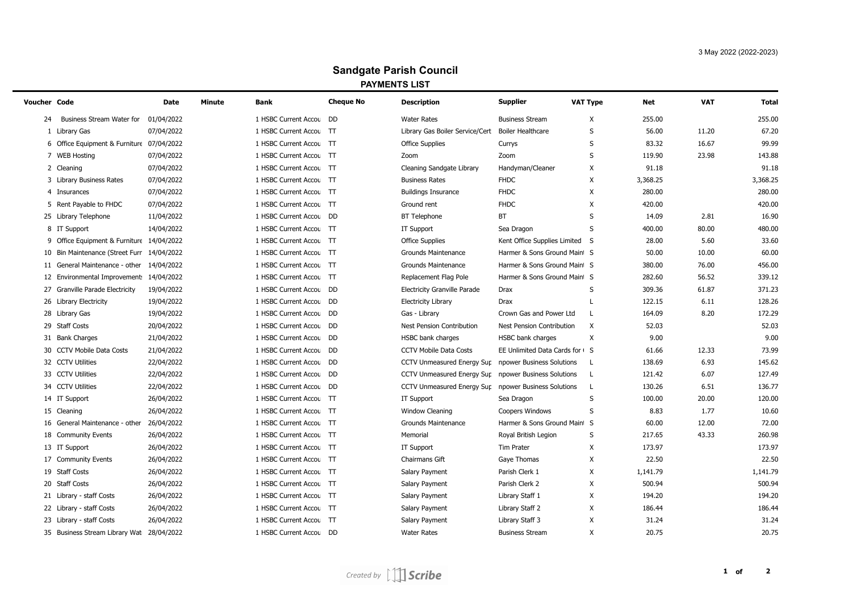## **Sandgate Parish Council PAYMENTS LIST**

| Voucher Code |                                            | Date       | <b>Minute</b> | Bank                    | <b>Cheque No</b> | <b>Description</b>                                   | <b>Supplier</b>                | <b>VAT Type</b> | <b>Net</b> | <b>VAT</b> | <b>Total</b> |
|--------------|--------------------------------------------|------------|---------------|-------------------------|------------------|------------------------------------------------------|--------------------------------|-----------------|------------|------------|--------------|
| 24           | Business Stream Water for                  | 01/04/2022 |               | 1 HSBC Current Accou    | <b>DD</b>        | <b>Water Rates</b>                                   | <b>Business Stream</b>         | X               | 255.00     |            | 255.00       |
|              | 1 Library Gas                              | 07/04/2022 |               | 1 HSBC Current Accou    | $\top$           | Library Gas Boiler Service/Cert                      | Boiler Healthcare              | S               | 56.00      | 11.20      | 67.20        |
|              | 6 Office Equipment & Furniture 07/04/2022  |            |               | 1 HSBC Current Accou TT |                  | <b>Office Supplies</b>                               | Currys                         | S               | 83.32      | 16.67      | 99.99        |
|              | 7 WEB Hosting                              | 07/04/2022 |               | 1 HSBC Current Accou TT |                  | Zoom                                                 | Zoom                           | S               | 119.90     | 23.98      | 143.88       |
|              | 2 Cleaning                                 | 07/04/2022 |               | 1 HSBC Current Accou TT |                  | Cleaning Sandgate Library                            | Handyman/Cleaner               | X               | 91.18      |            | 91.18        |
|              | 3 Library Business Rates                   | 07/04/2022 |               | 1 HSBC Current Accou TT |                  | <b>Business Rates</b>                                | <b>FHDC</b>                    | Χ               | 3,368.25   |            | 3,368.25     |
|              | 4 Insurances                               | 07/04/2022 |               | 1 HSBC Current Accou TT |                  | <b>Buildings Insurance</b>                           | <b>FHDC</b>                    | X               | 280.00     |            | 280.00       |
|              | 5 Rent Payable to FHDC                     | 07/04/2022 |               | 1 HSBC Current Accou TT |                  | Ground rent                                          | <b>FHDC</b>                    | X               | 420.00     |            | 420.00       |
|              | 25 Library Telephone                       | 11/04/2022 |               | 1 HSBC Current Accou    | <b>DD</b>        | <b>BT</b> Telephone                                  | <b>BT</b>                      | S               | 14.09      | 2.81       | 16.90        |
|              | 8 IT Support                               | 14/04/2022 |               | 1 HSBC Current Accou TT |                  | IT Support                                           | Sea Dragon                     | S               | 400.00     | 80.00      | 480.00       |
|              | 9 Office Equipment & Furniture 14/04/2022  |            |               | 1 HSBC Current Accou TT |                  | <b>Office Supplies</b>                               | Kent Office Supplies Limited S |                 | 28.00      | 5.60       | 33.60        |
|              | 10 Bin Maintenance (Street Furr 14/04/2022 |            |               | 1 HSBC Current Accou TT |                  | Grounds Maintenance                                  | Harmer & Sons Ground Maint S   |                 | 50.00      | 10.00      | 60.00        |
|              | 11 General Maintenance - other 14/04/2022  |            |               | 1 HSBC Current Accou TT |                  | Grounds Maintenance                                  | Harmer & Sons Ground Maint S   |                 | 380.00     | 76.00      | 456.00       |
|              | 12 Environmental Improvement: 14/04/2022   |            |               | 1 HSBC Current Accou TT |                  | Replacement Flag Pole                                | Harmer & Sons Ground Maint S   |                 | 282.60     | 56.52      | 339.12       |
|              | 27 Granville Parade Electricity            | 19/04/2022 |               | 1 HSBC Current Accou DD |                  | <b>Electricity Granville Parade</b>                  | <b>Drax</b>                    | S               | 309.36     | 61.87      | 371.23       |
|              | 26 Library Electricity                     | 19/04/2022 |               | 1 HSBC Current Accou    | DD               | <b>Electricity Library</b>                           | Drax                           |                 | 122.15     | 6.11       | 128.26       |
|              | 28 Library Gas                             | 19/04/2022 |               | 1 HSBC Current Accou    | <b>DD</b>        | Gas - Library                                        | Crown Gas and Power Ltd        | L               | 164.09     | 8.20       | 172.29       |
|              | 29 Staff Costs                             | 20/04/2022 |               | 1 HSBC Current Accou DD |                  | Nest Pension Contribution                            | Nest Pension Contribution      | Χ               | 52.03      |            | 52.03        |
|              | 31 Bank Charges                            | 21/04/2022 |               | 1 HSBC Current Accou    | DD               | HSBC bank charges                                    | HSBC bank charges              | X               | 9.00       |            | 9.00         |
|              | 30 CCTV Mobile Data Costs                  | 21/04/2022 |               | 1 HSBC Current Accou    | <b>DD</b>        | <b>CCTV Mobile Data Costs</b>                        | EE Unlimited Data Cards for G  |                 | 61.66      | 12.33      | 73.99        |
|              | 32 CCTV Utilities                          | 22/04/2022 |               | 1 HSBC Current Accou    | DD               | CCTV Unmeasured Energy Sup                           | npower Business Solutions      | L               | 138.69     | 6.93       | 145.62       |
|              | 33 CCTV Utilities                          | 22/04/2022 |               | 1 HSBC Current Accou    | DD               | CCTV Unmeasured Energy Sur                           | npower Business Solutions      | L               | 121.42     | 6.07       | 127.49       |
|              | 34 CCTV Utilities                          | 22/04/2022 |               | 1 HSBC Current Accou    | DD               | CCTV Unmeasured Energy Sur npower Business Solutions |                                | L               | 130.26     | 6.51       | 136.77       |
|              | 14 IT Support                              | 26/04/2022 |               | 1 HSBC Current Accou TT |                  | IT Support                                           | Sea Dragon                     | S               | 100.00     | 20.00      | 120.00       |
|              | 15 Cleaning                                | 26/04/2022 |               | 1 HSBC Current Accou    | ाा               | Window Cleaning                                      | <b>Coopers Windows</b>         | S               | 8.83       | 1.77       | 10.60        |
|              | 16 General Maintenance - other             | 26/04/2022 |               | 1 HSBC Current Accou    | $\top$           | <b>Grounds Maintenance</b>                           | Harmer & Sons Ground Maint S   |                 | 60.00      | 12.00      | 72.00        |
|              | 18 Community Events                        | 26/04/2022 |               | 1 HSBC Current Accou TT |                  | Memorial                                             | Royal British Legion           | S               | 217.65     | 43.33      | 260.98       |
|              | 13 IT Support                              | 26/04/2022 |               | 1 HSBC Current Accou TT |                  | IT Support                                           | Tim Prater                     | X               | 173.97     |            | 173.97       |
|              | 17 Community Events                        | 26/04/2022 |               | 1 HSBC Current Accou TT |                  | Chairmans Gift                                       | Gaye Thomas                    | х               | 22.50      |            | 22.50        |
|              | 19 Staff Costs                             | 26/04/2022 |               | 1 HSBC Current Accou TT |                  | Salary Payment                                       | Parish Clerk 1                 | X               | 1,141.79   |            | 1,141.79     |
|              | 20 Staff Costs                             | 26/04/2022 |               | 1 HSBC Current Accou TT |                  | Salary Payment                                       | Parish Clerk 2                 | X               | 500.94     |            | 500.94       |
|              | 21 Library - staff Costs                   | 26/04/2022 |               | 1 HSBC Current Accou TT |                  | Salary Payment                                       | Library Staff 1                | X               | 194.20     |            | 194.20       |
|              | 22 Library - staff Costs                   | 26/04/2022 |               | 1 HSBC Current Accou    | ाा               | Salary Payment                                       | Library Staff 2                | X               | 186.44     |            | 186.44       |
|              | 23 Library - staff Costs                   | 26/04/2022 |               | 1 HSBC Current Accou    | $\top$           | Salary Payment                                       | Library Staff 3                | X               | 31.24      |            | 31.24        |
|              | 35 Business Stream Library Wat 28/04/2022  |            |               | 1 HSBC Current Accou DD |                  | <b>Water Rates</b>                                   | <b>Business Stream</b>         | X               | 20.75      |            | 20.75        |